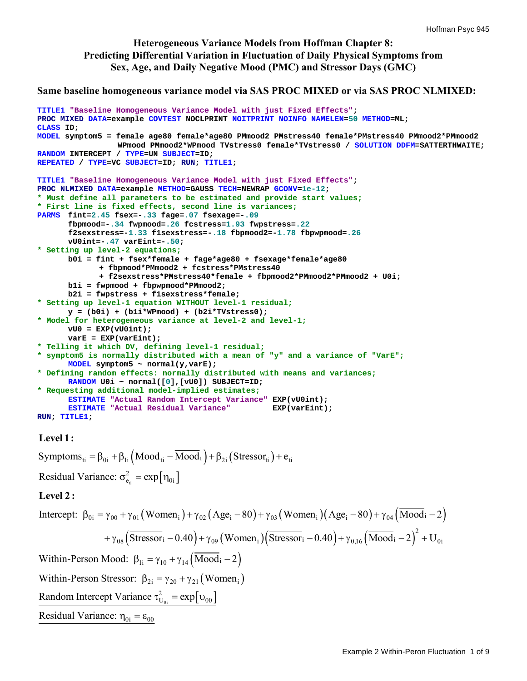## **Heterogeneous Variance Models from Hoffman Chapter 8: Predicting Differential Variation in Fluctuation of Daily Physical Symptoms from Sex, Age, and Daily Negative Mood (PMC) and Stressor Days (GMC)**

### **Same baseline homogeneous variance model via SAS PROC MIXED or via SAS PROC NLMIXED:**

```
TITLE1 "Baseline Homogeneous Variance Model with just Fixed Effects"; 
PROC MIXED DATA=example COVTEST NOCLPRINT NOITPRINT NOINFO NAMELEN=50 METHOD=ML; 
CLASS ID; 
MODEL symptom5 = female age80 female*age80 PMmood2 PMstress40 female*PMstress40 PMmood2*PMmood2 
                  WPmood PMmood2*WPmood TVstress0 female*TVstress0 / SOLUTION DDFM=SATTERTHWAITE; 
RANDOM INTERCEPT / TYPE=UN SUBJECT=ID; 
REPEATED / TYPE=VC SUBJECT=ID; RUN; TITLE1; 
TITLE1 "Baseline Homogeneous Variance Model with just Fixed Effects"; 
PROC NLMIXED DATA=example METHOD=GAUSS TECH=NEWRAP GCONV=1e-12; 
* Must define all parameters to be estimated and provide start values;
* First line is fixed effects, second line is variances;
PARMS fint=2.45 fsex=-.33 fage=.07 fsexage=-.09 
        fbpmood=-.34 fwpmood=.26 fcstress=1.93 fwpstress=.22
      f2sexstress=-1.33 f1sexstress=-.18 fbpmood2=-1.78 fbpwpmood=.26
       vU0int=-.47 varEint=-.50; 
* Setting up level-2 equations;
       b0i = fint + fsex*female + fage*age80 + fsexage*female*age80 
              + fbpmood*PMmood2 + fcstress*PMstress40 
              + f2sexstress*PMstress40*female + fbpmood2*PMmood2*PMmood2 + U0i; 
       b1i = fwpmood + fbpwpmood*PMmood2; 
       b2i = fwpstress + f1sexstress*female; 
* Setting up level-1 equation WITHOUT level-1 residual;
       y = (b0i) + (b1i*WPmood) + (b2i*TVstress0); 
* Model for heterogeneous variance at level-2 and level-1;
       vU0 = EXP(vU0int); 
       varE = EXP(varEint); 
* Telling it which DV, defining level-1 residual;
* symptom5 is normally distributed with a mean of "y" and a variance of "VarE";
      MODEL symptom5 ~ normal(y,varE); 
* Defining random effects: normally distributed with means and variances;
      RANDOM U0i ~ normal([0],[vU0]) SUBJECT=ID; 
* Requesting additional model-implied estimates;
      ESTIMATE "Actual Random Intercept Variance" EXP(vU0int); 
      ESTIMATE "Actual Residual Variance" EXP(varEint); 
RUN; TITLE1;
```
### **Level 1:**

Symptoms<sub>ti</sub> =  $\beta_{0i} + \beta_{1i} (\text{Mod}_{ti} - \text{Mod}_{i}) + \beta_{2i} (\text{Stressor}_{ti}) + e_{ti}$  $t_{\text{t}} = \exp[\eta_{0i}]$ 2 Residual Variance:  $\sigma_{e_i}^2 = \exp[\eta_{0i}]$ 

### **Level 2 :**

Intercept: 
$$
\beta_{0i} = \gamma_{00} + \gamma_{01} \left( \text{Women}_i \right) + \gamma_{02} \left( \text{Age}_i - 80 \right) + \gamma_{03} \left( \text{Women}_i \right) \left( \text{Age}_i - 80 \right) + \gamma_{04} \left( \text{Wood}_i - 2 \right)
$$

\n
$$
+ \gamma_{08} \left( \text{Stressor}_i - 0.40 \right) + \gamma_{09} \left( \text{Women}_i \right) \left( \text{Stressor}_i - 0.40 \right) + \gamma_{0,16} \left( \text{Wood}_i - 2 \right)^2 + U_{0i}
$$
\nWithin-Person Mood:  $\beta_{1i} = \gamma_{10} + \gamma_{14} \left( \text{Wood}_i - 2 \right)$ 

\nWithin-Person Stressor:  $\beta_{2i} = \gamma_{20} + \gamma_{21} \left( \text{Women}_i \right)$ 

\nRandom Intercept Variance  $\tau_{U_{0i}}^2 = \exp[v_{00}]$ 

\nResidual Variance:  $\eta_{0i} = \varepsilon_{00}$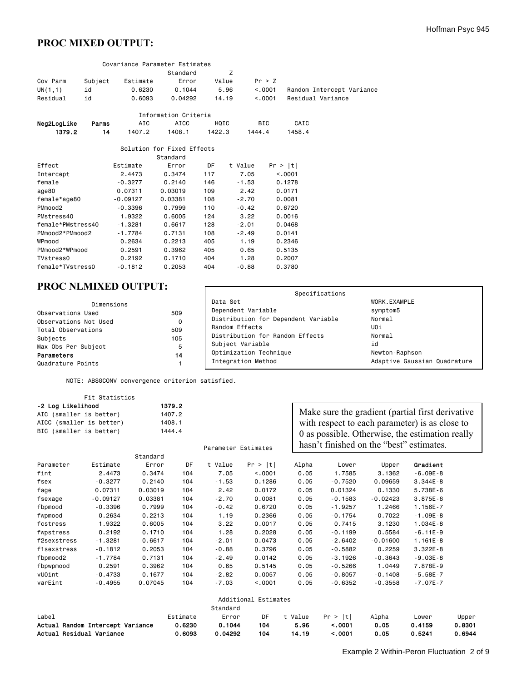# **PROC MIXED OUTPUT:**

|                   |         |            | Covariance Parameter Estimates |        |         |                           |  |
|-------------------|---------|------------|--------------------------------|--------|---------|---------------------------|--|
|                   |         |            | Standard                       | Z      |         |                           |  |
| Cov Parm          | Subject | Estimate   | Error                          | Value  | Pr > Z  |                           |  |
| UN(1,1)           | id      | 0.6230     | 0.1044                         | 5.96   | < 0.001 | Random Intercept Variance |  |
| Residual          | id      | 0.6093     | 0.04292                        | 14.19  | < 0.001 | Residual Variance         |  |
|                   |         |            | Information Criteria           |        |         |                           |  |
|                   |         |            |                                |        |         |                           |  |
| Neg2LogLike       | Parms   | AIC        | <b>AICC</b>                    | HQIC   | BIC     | CAIC                      |  |
| 1379.2            | 14      | 1407.2     | 1408.1                         | 1422.3 | 1444.4  | 1458.4                    |  |
|                   |         |            | Solution for Fixed Effects     |        |         |                           |  |
|                   |         |            | Standard                       |        |         |                           |  |
| Effect            |         | Estimate   | Error                          | DF     | t Value | Pr >  t                   |  |
| Intercept         |         | 2.4473     | 0.3474                         | 117    | 7.05    | < .0001                   |  |
| female            |         | $-0.3277$  | 0.2140                         | 146    | $-1.53$ | 0.1278                    |  |
| age80             |         | 0.07311    | 0.03019                        | 109    | 2.42    | 0.0171                    |  |
| female*age80      |         | $-0.09127$ | 0.03381                        | 108    | $-2.70$ | 0.0081                    |  |
| PMmood2           |         | $-0.3396$  | 0.7999                         | 110    | $-0.42$ | 0.6720                    |  |
| PMstress40        |         | 1.9322     | 0.6005                         | 124    | 3.22    | 0.0016                    |  |
|                   |         |            |                                |        |         |                           |  |
| female*PMstress40 |         | $-1.3281$  | 0.6617                         | 128    | $-2.01$ | 0.0468                    |  |
| PMmood2*PMmood2   |         | $-1.7784$  | 0.7131                         | 108    | $-2.49$ | 0.0141                    |  |
| WPmood            |         | 0.2634     | 0.2213                         | 405    | 1.19    | 0.2346                    |  |
| PMmood2*WPmood    |         | 0.2591     | 0.3962                         | 405    | 0.65    | 0.5135                    |  |
| TVstress0         |         | 0.2192     | 0.1710                         | 404    | 1.28    | 0.2007                    |  |
| female*TVstress0  |         | $-0.1812$  | 0.2053                         | 404    | $-0.88$ | 0.3780                    |  |

# **PROC NLMIXED OUTPUT:**

| <b>PROC NLMIXED OUTPUT:</b> |     |                                     |                              |  |  |  |
|-----------------------------|-----|-------------------------------------|------------------------------|--|--|--|
|                             |     | Specifications                      |                              |  |  |  |
| Dimensions                  |     | Data Set                            | WORK.EXAMPLE                 |  |  |  |
| Observations Used           | 509 | Dependent Variable                  | symptom5                     |  |  |  |
| Observations Not Used       | 0   | Distribution for Dependent Variable | Normal                       |  |  |  |
| Total Observations          | 509 | Random Effects                      | UOi                          |  |  |  |
| Subjects                    | 105 | Distribution for Random Effects     | Normal                       |  |  |  |
| Max Obs Per Subject         | 5   | Subject Variable                    | id                           |  |  |  |
| Parameters                  | 14  | Optimization Technique              | Newton-Raphson               |  |  |  |
| Quadrature Points           |     | Integration Method                  | Adaptive Gaussian Quadrature |  |  |  |

NOTE: ABSGCONV convergence criterion satisfied.

|                   | Fit Statistics                                                                 |          |                                      |                     |                      |         |                                                                                                                                                                                                   |            |              |        |
|-------------------|--------------------------------------------------------------------------------|----------|--------------------------------------|---------------------|----------------------|---------|---------------------------------------------------------------------------------------------------------------------------------------------------------------------------------------------------|------------|--------------|--------|
| -2 Log Likelihood | AIC (smaller is better)<br>AICC (smaller is better)<br>BIC (smaller is better) |          | 1379.2<br>1407.2<br>1408.1<br>1444.4 | Parameter Estimates |                      |         | Make sure the gradient (partial first derivative<br>with respect to each parameter) is as close to<br>0 as possible. Otherwise, the estimation really<br>hasn't finished on the "best" estimates. |            |              |        |
|                   |                                                                                | Standard |                                      |                     |                      |         |                                                                                                                                                                                                   |            |              |        |
| Parameter         | Estimate                                                                       | Error    | DF                                   | t Value             | Pr ><br> t           | Alpha   | Lower                                                                                                                                                                                             | Upper      | Gradient     |        |
| fint              | 2.4473                                                                         | 0.3474   | 104                                  | 7.05                | < 0001               | 0.05    | 1.7585                                                                                                                                                                                            | 3.1362     | $-6.09E-8$   |        |
| fsex              | $-0.3277$                                                                      | 0.2140   | 104                                  | $-1.53$             | 0.1286               | 0.05    | $-0.7520$                                                                                                                                                                                         | 0.09659    | $3.344E - 8$ |        |
| fage              | 0.07311                                                                        | 0.03019  | 104                                  | 2.42                | 0.0172               | 0.05    | 0.01324                                                                                                                                                                                           | 0.1330     | 5.738E-6     |        |
| fsexage           | $-0.09127$                                                                     | 0.03381  | 104                                  | $-2.70$             | 0.0081               | 0.05    | $-0.1583$                                                                                                                                                                                         | $-0.02423$ | $3.875E - 6$ |        |
| fbpmood           | $-0.3396$                                                                      | 0.7999   | 104                                  | $-0.42$             | 0.6720               | 0.05    | $-1.9257$                                                                                                                                                                                         | 1.2466     | 1.156E-7     |        |
| fwpmood           | 0.2634                                                                         | 0.2213   | 104                                  | 1.19                | 0.2366               | 0.05    | $-0.1754$                                                                                                                                                                                         | 0.7022     | $-1.09E-8$   |        |
| fcstress          | 1.9322                                                                         | 0.6005   | 104                                  | 3.22                | 0.0017               | 0.05    | 0.7415                                                                                                                                                                                            | 3,1230     | $1.034E - 8$ |        |
| fwpstress         | 0.2192                                                                         | 0.1710   | 104                                  | 1.28                | 0.2028               | 0.05    | $-0.1199$                                                                                                                                                                                         | 0.5584     | $-6.11E-9$   |        |
| f2sexstress       | $-1.3281$                                                                      | 0.6617   | 104                                  | $-2.01$             | 0.0473               | 0.05    | $-2.6402$                                                                                                                                                                                         | $-0.01600$ | $1.161E-8$   |        |
| f1sexstress       | $-0.1812$                                                                      | 0.2053   | 104                                  | $-0.88$             | 0.3796               | 0.05    | $-0.5882$                                                                                                                                                                                         | 0.2259     | $3.322E - 8$ |        |
| fbpmood2          | $-1.7784$                                                                      | 0.7131   | 104                                  | $-2.49$             | 0.0142               | 0.05    | $-3.1926$                                                                                                                                                                                         | $-0.3643$  | $-9.03E-8$   |        |
| fbpwpmood         | 0.2591                                                                         | 0.3962   | 104                                  | 0.65                | 0.5145               | 0.05    | $-0.5266$                                                                                                                                                                                         | 1.0449     | 7.878E-9     |        |
| vUOint            | $-0.4733$                                                                      | 0.1677   | 104                                  | $-2.82$             | 0.0057               | 0.05    | $-0.8057$                                                                                                                                                                                         | $-0.1408$  | $-5.58E-7$   |        |
| varEint           | $-0.4955$                                                                      | 0.07045  | 104                                  | $-7.03$             | < 0.001              | 0.05    | $-0.6352$                                                                                                                                                                                         | $-0.3558$  | $-7.07E - 7$ |        |
|                   |                                                                                |          |                                      |                     | Additional Estimates |         |                                                                                                                                                                                                   |            |              |        |
|                   |                                                                                |          |                                      | Standard            |                      |         |                                                                                                                                                                                                   |            |              |        |
| Label             |                                                                                |          | Estimate                             | Error               | DF                   | t Value | Pr >  t                                                                                                                                                                                           | Alpha      | Lower        | Upper  |
|                   | Actual Random Intercept Variance                                               |          | 0.6230                               | 0.1044              | 104                  | 5.96    | < .0001                                                                                                                                                                                           | 0.05       | 0.4159       | 0.8301 |
|                   | Actual Residual Variance                                                       |          | 0.6093                               | 0.04292             | 104                  | 14.19   | < .0001                                                                                                                                                                                           | 0.05       | 0.5241       | 0.6944 |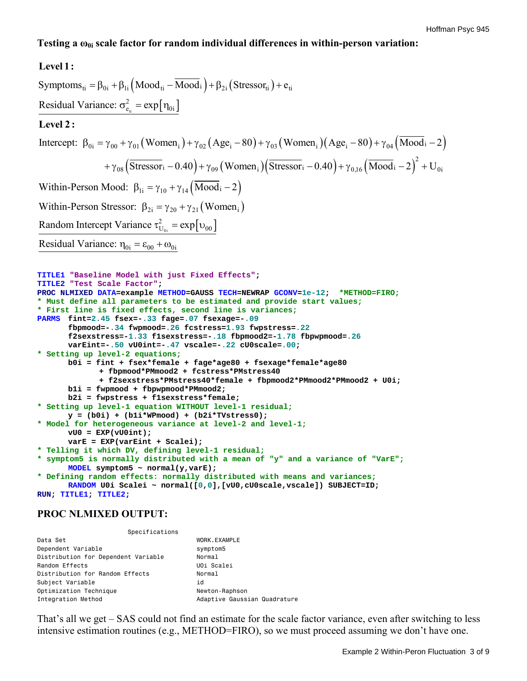## **Testing a ω0i scale factor for random individual differences in within-person variation:**

## **Level 1:**

```
Symptoms<sub>ti</sub> = \beta_{0i} + \beta_{1i} (\text{Mod}_{ti} - \text{Mod}_{i}) + \beta_{2i} (\text{Stressor}_{ti}) + e_{ti}t_{\text{t}} = \exp[\eta_{0i}]Intercept: \beta_{0i} = \gamma_{00} + \gamma_{01} (Women_{i}) + \gamma_{02} (Age_{i} - 80) + \gamma_{03} (Women_{i}) (Age_{i} - 80) + \gamma_{04} (Mod_{i} - 2)2
 Residual Variance: \sigma_{e_i}^2 = \exp[\eta_{0i}]+\gamma_{08}(\overline{\text{Stressor}}_i-0.40)+\gamma_{09}(\text{Women}_i)(\overline{\text{Stressor}}_i-0.40)+\gamma_{0,16}(\overline{\text{Mood}}_i-2)^2Level 2 :
 Within-Person Mood: \beta_{1i} = \gamma_{10} + \gamma_{14} (\text{Mod}_i - 2)Within-Person Stressor: \beta_{2i} = \gamma_{20} + \gamma_{21} (Women<sub>i</sub>)
                                                  \sum_{\rm U_{0i}}^2 = \exp[\nu_{00}]\rm(r_{i} - 0.40) + \gamma_{09} (Women<sub>i</sub>)(Stressor<sub>i</sub> – 0.40) + \gamma_{0,16} (Mood<sub>i</sub> – 2)<sup>-</sup> + U<sub>0i</sub>
 Random Intercept Variance \tau_{U_{0i}}^2 = \exp[\upsilon_{00}Residual Variance: \eta_{0i} = \varepsilon_{00} + \omega_{0i}TITLE1 "Baseline Model with just Fixed Effects";
```

```
TITLE2 "Test Scale Factor"; 
PROC NLMIXED DATA=example METHOD=GAUSS TECH=NEWRAP GCONV=1e-12; *METHOD=FIRO;
* Must define all parameters to be estimated and provide start values;
* First line is fixed effects, second line is variances;
PARMS fint=2.45 fsex=-.33 fage=.07 fsexage=-.09 
        fbpmood=-.34 fwpmood=.26 fcstress=1.93 fwpstress=.22
       f2sexstress=-1.33 f1sexstress=-.18 fbpmood2=-1.78 fbpwpmood=.26
       varEint=-.50 vU0int=-.47 vscale=-.22 cU0scale=.00; 
* Setting up level-2 equations;
       b0i = fint + fsex*female + fage*age80 + fsexage*female*age80 
              + fbpmood*PMmood2 + fcstress*PMstress40 
              + f2sexstress*PMstress40*female + fbpmood2*PMmood2*PMmood2 + U0i; 
       b1i = fwpmood + fbpwpmood*PMmood2; 
       b2i = fwpstress + f1sexstress*female; 
* Setting up level-1 equation WITHOUT level-1 residual;
       y = (b0i) + (b1i*WPmood) + (b2i*TVstress0); 
* Model for heterogeneous variance at level-2 and level-1;
       vU0 = EXP(vU0int); 
       varE = EXP(varEint + Scalei); 
* Telling it which DV, defining level-1 residual;
* symptom5 is normally distributed with a mean of "y" and a variance of "VarE";
      MODEL symptom5 ~ normal(y,varE); 
* Defining random effects: normally distributed with means and variances;
      RANDOM U0i Scalei ~ normal([0,0],[vU0,cU0scale,vscale]) SUBJECT=ID; 
RUN; TITLE1; TITLE2;
```
# **PROC NLMIXED OUTPUT:**

#### Specifications

| Data Set                            | WORK.EXAMPLE                 |
|-------------------------------------|------------------------------|
| Dependent Variable                  | symptom5                     |
| Distribution for Dependent Variable | Normal                       |
| Random Effects                      | UOi Scalei                   |
| Distribution for Random Effects     | Normal                       |
| Subject Variable                    | id                           |
| Optimization Technique              | Newton-Raphson               |
| Integration Method                  | Adaptive Gaussian Quadrature |
|                                     |                              |

That's all we get – SAS could not find an estimate for the scale factor variance, even after switching to less intensive estimation routines (e.g., METHOD=FIRO), so we must proceed assuming we don't have one.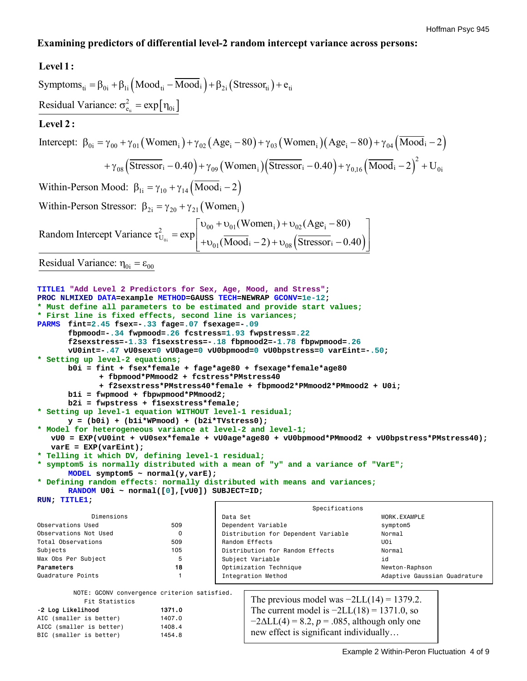## **Examining predictors of differential level-2 random intercept variance across persons:**

### Symptoms<sub>ti</sub> =  $\beta_{0i}$  +  $\beta_{1i}$  (Mood<sub>ti</sub> – Mood<sub>i</sub>) +  $\beta_{2i}$  (Stressor<sub>ti</sub>) +  $e_{ti}$  $t_{\text{t}} = \exp\left[\eta_{0i}\right]$ Intercept:  $\beta_{0i} = \gamma_{00} + \gamma_{01} (Women_{i}) + \gamma_{02} (Age_{i} - 80) + \gamma_{03} (Women_{i}) (Age_{i} - 80) + \gamma_{04} (Mod_{i} - 2)$ 2 Residual Variance:  $\sigma_{e_i}^2 = \exp[\eta_{0i}]$  $+\gamma_{08}(\overline{\text{Stressor}}_i-0.40)+\gamma_{09}(\text{Women}_i)(\overline{\text{Stressor}}_i-0.40)+\gamma_{0,16}(\overline{\text{Mod}}_i-2)^2$ **Level 1: Level 2 :** Within-Person Mood:  $\beta_{1i} = \gamma_{10} + \gamma_{14} (\text{Mod}_i - 2)$ Within-Person Stressor:  $\beta_{2i} = \gamma_{20} + \gamma_{21}$  (Women<sub>i</sub>) 0i  $\rm(r_{i} - 0.40) + \gamma_{09} (Women_{i}) (Stressor_{i} - 0.40) + \gamma_{0,16} (Mood_{i} - 2)^{-} + U_{0i}$  $\frac{1}{2}$  =  $\exp\left[\frac{0.00 + 0.01}{2}$  w official  $\frac{1}{2}$  +  $\frac{0.02}{2}$  (AgC<sub>i</sub> U 01  $(Women_i) + v_{02} (Age_i - 80)$ Random Intercept Variance  $\tau_{U_{0i}}^2 = \exp \left( \frac{W}{\sqrt{M_0}} \right)$  $v_{00} + v_{01}$  (Women<sub>i</sub>) +  $v_{02}$  (Age<sub>i</sub> –  $\tau^2_\mathrm{UL}$  = + $\upsilon_{01}(\text{Mod}_i - 2)$  +  $\upsilon_{08}(\text{Stressor}_i - 0.40)$ Residual Variance:  $\eta_{0i} = \varepsilon_{00}$  $|v_{00} + v_{01}$ (Women<sub>i</sub>) +  $v_{02}$ (Age<sub>i</sub> – 80) |  $\frac{1}{\sqrt{1-\frac{1}{2}}}\sqrt{1-\frac{1}{2}}$  ( $\frac{1}{\sqrt{1-\frac{1}{2}}}\sqrt{1-\frac{1}{2}}$  ( $\frac{1}{\sqrt{1-\frac{1}{2}}}\sqrt{1-\frac{1}{2}}$  $\left\lfloor +\upsilon_{01}(\text{Mod}_1 - 2) + \upsilon_{08}\left(\text{Stressor}_1 - 0.40\right) \right\rfloor$ **TITLE1 "Add Level 2 Predictors for Sex, Age, Mood, and Stress"; PROC NLMIXED DATA=example METHOD=GAUSS TECH=NEWRAP GCONV=1e-12; \* Must define all parameters to be estimated and provide start values; \* First line is fixed effects, second line is variances; fbpmood=-.34 fwpmood=.26 fcstress=1.93 fwpstress=.22**

```
PARMS fint=2.45 fsex=-.33 fage=.07 fsexage=-.09 
       f2sexstress=-1.33 f1sexstress=-.18 fbpmood2=-1.78 fbpwpmood=.26
       vU0int=-.47 vU0sex=0 vU0age=0 vU0bpmood=0 vU0bpstress=0 varEint=-.50; 
* Setting up level-2 equations;
       b0i = fint + fsex*female + fage*age80 + fsexage*female*age80 
              + fbpmood*PMmood2 + fcstress*PMstress40 
              + f2sexstress*PMstress40*female + fbpmood2*PMmood2*PMmood2 + U0i; 
       b1i = fwpmood + fbpwpmood*PMmood2; 
       b2i = fwpstress + f1sexstress*female; 
* Setting up level-1 equation WITHOUT level-1 residual;
       y = (b0i) + (b1i*WPmood) + (b2i*TVstress0); 
* Model for heterogeneous variance at level-2 and level-1;
    vU0 = EXP(vU0int + vU0sex*female + vU0age*age80 + vU0bpmood*PMmood2 + vU0bpstress*PMstress40); 
    varE = EXP(varEint); 
* Telling it which DV, defining level-1 residual;
* symptom5 is normally distributed with a mean of "y" and a variance of "VarE";
      MODEL symptom5 ~ normal(y,varE); 
* Defining random effects: normally distributed with means and variances;
      RANDOM U0i ~ normal([0],[vU0]) SUBJECT=ID; 
RUN; TITLE1; 
 Dimensions 
                                                            Specifications
                                        Data Set WORK.EXAMPLE
```

| Dimensions            |     | Data Set                            | WORK.EXAMPLE                 |
|-----------------------|-----|-------------------------------------|------------------------------|
| Observations Used     | 509 | Dependent Variable                  | symptom5                     |
| Observations Not Used | 0   | Distribution for Dependent Variable | Normal                       |
| Total Observations    | 509 | Random Effects                      | UOi                          |
| Subjects              | 105 | Distribution for Random Effects     | Normal                       |
| Max Obs Per Subject   | 5   | Subject Variable                    | id                           |
| Parameters            | 18  | Optimization Technique              | Newton-Raphson               |
| Quadrature Points     |     | Integration Method                  | Adaptive Gaussian Quadrature |
|                       |     |                                     |                              |

NOTE: GCONV convergence criterion satisfied.

| Fit Statistics           |        |
|--------------------------|--------|
| -2 Log Likelihood        | 1371.0 |
| AIC (smaller is better)  | 1407.0 |
| AICC (smaller is better) | 1408.4 |
| BIC (smaller is better)  | 1454.8 |

The previous model was  $-2LL(14) = 1379.2$ . The current model is  $-2LL(18) = 1371.0$ , so  $-2\Delta L L(4) = 8.2, p = .085,$  although only one new effect is significant individually…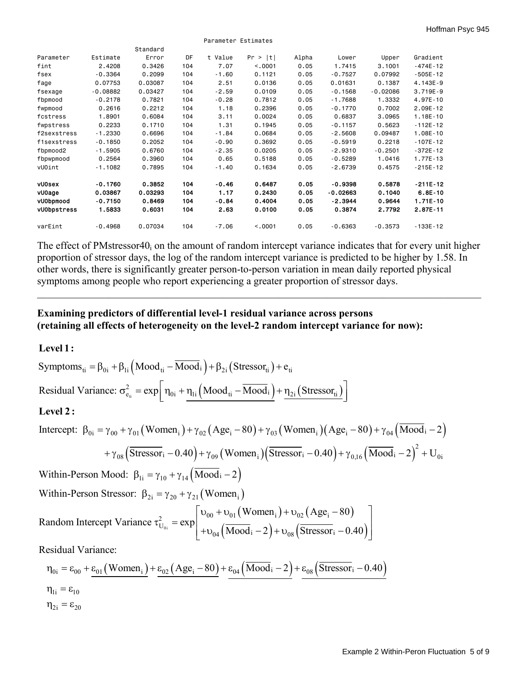|               |            |          |     | Parameter Estimates |         |       |            |            |              |
|---------------|------------|----------|-----|---------------------|---------|-------|------------|------------|--------------|
|               |            | Standard |     |                     |         |       |            |            |              |
| Parameter     | Estimate   | Error    | DF  | t Value             | Pr >  t | Alpha | Lower      | Upper      | Gradient     |
| fint          | 2.4208     | 0.3426   | 104 | 7.07                | < 0.001 | 0.05  | 1.7415     | 3.1001     | $-474E - 12$ |
| fsex          | $-0.3364$  | 0.2099   | 104 | $-1.60$             | 0.1121  | 0.05  | $-0.7527$  | 0.07992    | $-505E - 12$ |
| fage          | 0.07753    | 0.03087  | 104 | 2.51                | 0.0136  | 0.05  | 0.01631    | 0.1387     | 4.143E-9     |
| fsexage       | $-0.08882$ | 0.03427  | 104 | $-2.59$             | 0.0109  | 0.05  | $-0.1568$  | $-0.02086$ | 3.719E-9     |
| fbpmood       | $-0.2178$  | 0.7821   | 104 | $-0.28$             | 0.7812  | 0.05  | $-1.7688$  | 1.3332     | 4.97E-10     |
| fwpmood       | 0.2616     | 0.2212   | 104 | 1.18                | 0.2396  | 0.05  | $-0.1770$  | 0.7002     | 2.09E-12     |
| fcstress      | 1.8901     | 0.6084   | 104 | 3.11                | 0.0024  | 0.05  | 0.6837     | 3.0965     | $1.18E - 10$ |
| fwpstress     | 0.2233     | 0.1710   | 104 | 1.31                | 0.1945  | 0.05  | $-0.1157$  | 0.5623     | $-112E - 12$ |
| f2sexstress   | $-1.2330$  | 0.6696   | 104 | $-1.84$             | 0.0684  | 0.05  | $-2.5608$  | 0.09487    | $1.08E - 10$ |
| f1sexstress   | $-0.1850$  | 0.2052   | 104 | $-0.90$             | 0.3692  | 0.05  | $-0.5919$  | 0.2218     | $-107E - 12$ |
| fbpmood2      | $-1.5905$  | 0.6760   | 104 | $-2.35$             | 0.0205  | 0.05  | $-2.9310$  | $-0.2501$  | $-372E - 12$ |
| fbpwpmood     | 0.2564     | 0.3960   | 104 | 0.65                | 0.5188  | 0.05  | $-0.5289$  | 1.0416     | $1.77E - 13$ |
| vUOint        | -1.1082    | 0.7895   | 104 | $-1.40$             | 0.1634  | 0.05  | $-2.6739$  | 0.4575     | $-215E - 12$ |
| <b>vU0sex</b> | $-0.1760$  | 0.3852   | 104 | $-0.46$             | 0.6487  | 0.05  | $-0.9398$  | 0.5878     | $-211E-12$   |
| vU0age        | 0.03867    | 0.03293  | 104 | 1.17                | 0.2430  | 0.05  | $-0.02663$ | 0.1040     | $6.8E-10$    |
| vU0bpmood     | $-0.7150$  | 0.8469   | 104 | $-0.84$             | 0.4004  | 0.05  | $-2.3944$  | 0.9644     | $1.71E-10$   |
| vU0bpstress   | 1.5833     | 0.6031   | 104 | 2.63                | 0.0100  | 0.05  | 0.3874     | 2.7792     | 2.87E-11     |
| varEint       | $-0.4968$  | 0.07034  | 104 | $-7.06$             | < 0.001 | 0.05  | $-0.6363$  | $-0.3573$  | $-133E - 12$ |

The effect of PMstressor40 $<sub>i</sub>$  on the amount of random intercept variance indicates that for every unit higher</sub> proportion of stressor days, the log of the random intercept variance is predicted to be higher by 1.58. In other words, there is significantly greater person-to-person variation in mean daily reported physical symptoms among people who report experiencing a greater proportion of stressor days.

 $\_$  , and the contribution of the contribution of the contribution of the contribution of  $\mathcal{L}_\mathcal{A}$ 

# **Examining predictors of differential level-1 residual variance across persons (retaining all effects of heterogeneity on the level-2 random intercept variance for now):**

## **Level 1:**

Symptoms<sub>ti</sub> = β<sub>0i</sub> + β<sub>1i</sub> (Mood<sub>ti</sub> – Mood<sub>i</sub>) + β<sub>2i</sub> (Stressor<sub>ti</sub>) + e<sub>ti</sub>  
\nResidual Variance: σ<sub>e<sub>i</sub></sub><sup>2</sup> = exp
$$
\left[\eta_{0i} + \eta_{1i} (Mood_{ti} - Mood_{i}) + \eta_{2i} (Stressor_{ti})\right]
$$
  
\nLevel 2:  
\nIntercept: β<sub>0i</sub> = γ<sub>00</sub> + γ<sub>01</sub> (Women<sub>i</sub>) + γ<sub>02</sub> (Age<sub>i</sub> – 80) + γ<sub>03</sub> (Women<sub>i</sub>) (Age<sub>i</sub> – 80) + γ<sub>04</sub> (Mood<sub>i</sub> – 2)  
\n+ γ<sub>08</sub> (Stressor<sub>i</sub> – 0.40) + γ<sub>09</sub> (Women<sub>i</sub>) (Stressor<sub>i</sub> – 0.40) + γ<sub>0.16</sub> (Mood<sub>i</sub> – 2)<sup>2</sup> + U<sub>0i</sub>  
\nWithin-Person Mood: β<sub>1i</sub> = γ<sub>10</sub> + γ<sub>14</sub> (Mood<sub>i</sub> – 2)  
\nWithin-Person Stressor: β<sub>2i</sub> = γ<sub>20</sub> + γ<sub>21</sub> (Women<sub>i</sub>)  
\nRandom Intercept Variance τ<sub>U<sub>0i</sub></sub><sup>2</sup> = exp $\left[\frac{v_{00} + v_{01} (Women_i) + v_{02} (Age_i - 80)}{+ v_{04} (Mood_i - 2) + v_{08} (Stressor_i - 0.40)}\right]$   
\nResidual Variance:

$$
\eta_{0i} = \varepsilon_{00} + \underline{\varepsilon_{01} (Women_i)} + \underline{\varepsilon_{02} (Age_i - 80)} + \underline{\varepsilon_{04} (Mood_i - 2)} + \underline{\varepsilon_{08} (Stressor_i - 0.40)}
$$
  
\n
$$
\eta_{1i} = \varepsilon_{10}
$$
  
\n
$$
\eta_{2i} = \varepsilon_{20}
$$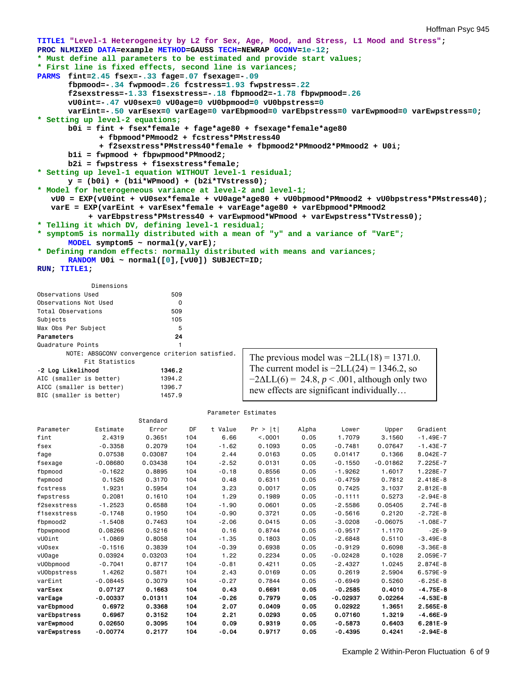```
TITLE1 "Level-1 Heterogeneity by L2 for Sex, Age, Mood, and Stress, L1 Mood and Stress"; 
PROC NLMIXED DATA=example METHOD=GAUSS TECH=NEWRAP GCONV=1e-12; 
* Must define all parameters to be estimated and provide start values;
* First line is fixed effects, second line is variances;
PARMS fint=2.45 fsex=-.33 fage=.07 fsexage=-.09 
      fbpmood=-.34 fwpmood=.26 fcstress=1.93 fwpstress=.22
       f2sexstress=-1.33 f1sexstress=-.18 fbpmood2=-1.78 fbpwpmood=.26
       vU0int=-.47 vU0sex=0 vU0age=0 vU0bpmood=0 vU0bpstress=0 
       varEint=-.50 varEsex=0 varEage=0 varEbpmood=0 varEbpstress=0 varEwpmood=0 varEwpstress=0; 
* Setting up level-2 equations;
       b0i = fint + fsex*female + fage*age80 + fsexage*female*age80 
              + fbpmood*PMmood2 + fcstress*PMstress40 
              + f2sexstress*PMstress40*female + fbpmood2*PMmood2*PMmood2 + U0i; 
       b1i = fwpmood + fbpwpmood*PMmood2; 
       b2i = fwpstress + f1sexstress*female; 
* Setting up level-1 equation WITHOUT level-1 residual;
       y = (b0i) + (b1i*WPmood) + (b2i*TVstress0); 
* Model for heterogeneous variance at level-2 and level-1;
    vU0 = EXP(vU0int + vU0sex*female + vU0age*age80 + vU0bpmood*PMmood2 + vU0bpstress*PMstress40); 
    varE = EXP(varEint + varEsex*female + varEage*age80 + varEbpmood*PMmood2 
           + varEbpstress*PMstress40 + varEwpmood*WPmood + varEwpstress*TVstress0); 
* Telling it which DV, defining level-1 residual;
* symptom5 is normally distributed with a mean of "y" and a variance of "VarE";
      MODEL symptom5 ~ normal(y,varE); 
* Defining random effects: normally distributed with means and variances;
      RANDOM U0i ~ normal([0],[vU0]) SUBJECT=ID; 
RUN; TITLE1; 
            Dimensions 
Observations Used 509
Observations Not Used 0
Total Observations 509
Subjects 105
```
Quadrature Points 1 NOTE: ABSGCONV convergence criterion satisfied.

| Fit Statistics           |        |
|--------------------------|--------|
| -2 Log Likelihood        | 1346.2 |
| AIC (smaller is better)  | 1394.2 |
| AICC (smaller is better) | 1396.7 |
| BIC (smaller is better)  | 1457.9 |

Max Obs Per Subject 5

Parameters

| The previous model was $-2LL(18) = 1371.0$ .          |  |
|-------------------------------------------------------|--|
| The current model is $-2LL(24) = 1346.2$ , so         |  |
| $-2\Delta LL(6) = 24.8, p < .001$ , although only two |  |
| new effects are significant individually              |  |

#### Parameter Estimates

|               |            | Standard |     |         |         |       |            |            |              |
|---------------|------------|----------|-----|---------|---------|-------|------------|------------|--------------|
| Parameter     | Estimate   | Error    | DF  | t Value | Pr >  t | Alpha | Lower      | Upper      | Gradient     |
| fint          | 2.4319     | 0.3651   | 104 | 6.66    | < 0.001 | 0.05  | 1.7079     | 3.1560     | $-1.49E - 7$ |
| fsex          | $-0.3358$  | 0.2079   | 104 | $-1.62$ | 0.1093  | 0.05  | $-0.7481$  | 0.07647    | $-1.43E - 7$ |
| fage          | 0.07538    | 0.03087  | 104 | 2.44    | 0.0163  | 0.05  | 0.01417    | 0.1366     | $8.042E - 7$ |
| fsexage       | $-0.08680$ | 0.03438  | 104 | $-2.52$ | 0.0131  | 0.05  | $-0.1550$  | $-0.01862$ | 7.225E-7     |
| fbpmood       | $-0.1622$  | 0.8895   | 104 | $-0.18$ | 0.8556  | 0.05  | $-1.9262$  | 1.6017     | 1.228E-7     |
| fwpmood       | 0.1526     | 0.3170   | 104 | 0.48    | 0.6311  | 0.05  | $-0.4759$  | 0.7812     | $2.418E - 8$ |
| fcstress      | 1.9231     | 0.5954   | 104 | 3.23    | 0.0017  | 0.05  | 0.7425     | 3.1037     | $2.812E - 8$ |
| fwpstress     | 0.2081     | 0.1610   | 104 | 1.29    | 0.1989  | 0.05  | $-0.1111$  | 0.5273     | $-2.94E-8$   |
| f2sexstress   | $-1.2523$  | 0.6588   | 104 | $-1.90$ | 0.0601  | 0.05  | $-2.5586$  | 0.05405    | $2.74E - 8$  |
| f1sexstress   | $-0.1748$  | 0.1950   | 104 | $-0.90$ | 0.3721  | 0.05  | $-0.5616$  | 0.2120     | $-2.72E-8$   |
| fbpmood2      | $-1.5408$  | 0.7463   | 104 | $-2.06$ | 0.0415  | 0.05  | $-3.0208$  | $-0.06075$ | $-1.08E - 7$ |
| fbpwpmood     | 0.08266    | 0.5216   | 104 | 0.16    | 0.8744  | 0.05  | $-0.9517$  | 1.1170     | $-2E-9$      |
| vUOint        | $-1.0869$  | 0.8058   | 104 | $-1.35$ | 0.1803  | 0.05  | $-2.6848$  | 0.5110     | $-3.49E - 8$ |
| <b>vU0sex</b> | $-0.1516$  | 0.3839   | 104 | $-0.39$ | 0.6938  | 0.05  | $-0.9129$  | 0.6098     | $-3.36E - 8$ |
| vU0age        | 0.03924    | 0.03203  | 104 | 1.22    | 0.2234  | 0.05  | $-0.02428$ | 0.1028     | 2.059E-7     |
| vU0bpmood     | $-0.7041$  | 0.8717   | 104 | $-0.81$ | 0.4211  | 0.05  | $-2.4327$  | 1.0245     | $2.874E - 8$ |
| vU0bpstress   | 1.4262     | 0.5871   | 104 | 2.43    | 0.0169  | 0.05  | 0.2619     | 2.5904     | 6.579E-9     |
| varEint       | $-0.08445$ | 0.3079   | 104 | $-0.27$ | 0.7844  | 0.05  | $-0.6949$  | 0.5260     | $-6.25E-8$   |
| varEsex       | 0.07127    | 0.1663   | 104 | 0.43    | 0.6691  | 0.05  | $-0.2585$  | 0.4010     | $-4.75E-8$   |
| varEage       | $-0.00337$ | 0.01311  | 104 | $-0.26$ | 0.7979  | 0.05  | $-0.02937$ | 0.02264    | $-4.53E-8$   |
| varEbpmood    | 0.6972     | 0.3368   | 104 | 2.07    | 0.0409  | 0.05  | 0.02922    | 1.3651     | $2.565E - 8$ |
| varEbpstress  | 0.6967     | 0.3152   | 104 | 2.21    | 0.0293  | 0.05  | 0.07160    | 1.3219     | $-4.66E-9$   |
| varEwpmood    | 0.02650    | 0.3095   | 104 | 0.09    | 0.9319  | 0.05  | $-0.5873$  | 0.6403     | $6.281E-9$   |
| varEwpstress  | $-0.00774$ | 0.2177   | 104 | $-0.04$ | 0.9717  | 0.05  | $-0.4395$  | 0.4241     | $-2.94E-8$   |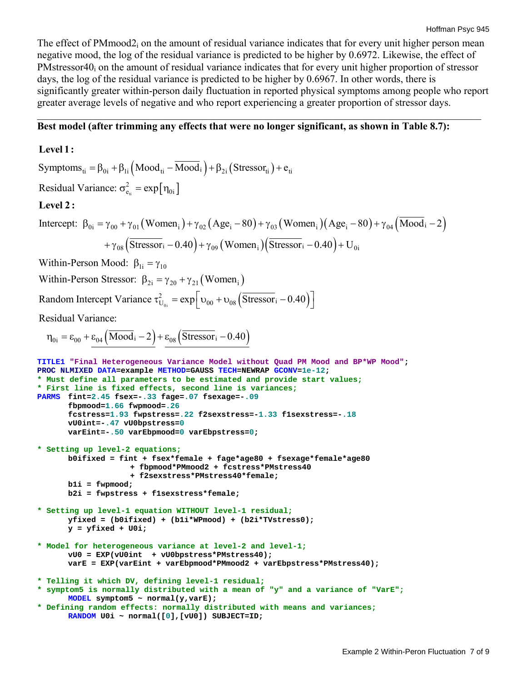The effect of PMmood2<sub>i</sub> on the amount of residual variance indicates that for every unit higher person mean negative mood, the log of the residual variance is predicted to be higher by 0.6972. Likewise, the effect of PMstressor40<sub>i</sub> on the amount of residual variance indicates that for every unit higher proportion of stressor days, the log of the residual variance is predicted to be higher by 0.6967. In other words, there is significantly greater within-person daily fluctuation in reported physical symptoms among people who report greater average levels of negative and who report experiencing a greater proportion of stressor days.

 $\_$  , and the contribution of the contribution of the contribution of the contribution of  $\mathcal{L}_\mathcal{A}$ 

## **Best model (after trimming any effects that were no longer significant, as shown in Table 8.7):**

### **Level 1:**

Symptoms<sub>ti</sub> =  $\beta_{0i}$  +  $\beta_{1i}$  (Mood<sub>ti</sub> – Mood<sub>i</sub>) +  $\beta_{2i}$  (Stressor<sub>ti</sub>) +  $e_{ti}$  $t_{\text{t}} = \exp[\eta_{0i}]$ Intercept:  $\beta_{0i} = \gamma_{00} + \gamma_{01} (Women_{i}) + \gamma_{02} (Age_{i} - 80) + \gamma_{03} (Women_{i}) (Age_{i} - 80) + \gamma_{04} (Mod_{i} - 2)$ 2 Residual Variance:  $\sigma_{e_i}^2 = \exp[\eta_{0i}]$  $+\gamma_{08}$  (Stressor<sub>i</sub> – 0.40) +  $\gamma_{09}$  (Women<sub>i</sub>) (Stressor<sub>i</sub> – 0.40) + U<sub>0i</sub> **Level 2 :** Within-Person Stressor:  $\beta_{2i} = \gamma_{20} + \gamma_{21}$  (Women<sub>i</sub>) Random Intercept Variance  $\tau_{U_{0i}}^2 = \exp\left[\upsilon_{00} + \upsilon_{08} \left(\overline{\text{Stressor}}_i - 0.40\right)\right]$ Within-Person Mood:  $\beta_{1i} = \gamma_{10}$  $n_{0i} = \varepsilon_{00} + \varepsilon_{04} ($ Mood<sub>i</sub>  $-2$ ) +  $\varepsilon_{08}$ (Stressor<sub>i</sub>  $-0.40$ ) Residual Variance: **TITLE1 "Final Heterogeneous Variance Model without Quad PM Mood and BP\*WP Mood"; PROC NLMIXED DATA=example METHOD=GAUSS TECH=NEWRAP GCONV=1e-12; \* Must define all parameters to be estimated and provide start values; \* First line is fixed effects, second line is variances; PARMS fint=2.45 fsex=-.33 fage=.07 fsexage=-.09 fbpmood=1.66 fwpmood=.26 fcstress=1.93 fwpstress=.22 f2sexstress=-1.33 f1sexstress=-.18 vU0int=-.47 vU0bpstress=0 varEint=-.50 varEbpmood=0 varEbpstress=0; \* Setting up level-2 equations; b0ifixed = fint + fsex\*female + fage\*age80 + fsexage\*female\*age80 + fbpmood\*PMmood2 + fcstress\*PMstress40 + f2sexstress\*PMstress40\*female; b1i = fwpmood; b2i = fwpstress + f1sexstress\*female; \* Setting up level-1 equation WITHOUT level-1 residual; yfixed = (b0ifixed) + (b1i\*WPmood) + (b2i\*TVstress0); y = yfixed + U0i; \* Model for heterogeneous variance at level-2 and level-1; vU0 = EXP(vU0int + vU0bpstress\*PMstress40); varE = EXP(varEint + varEbpmood\*PMmood2 + varEbpstress\*PMstress40); \* Telling it which DV, defining level-1 residual; \* symptom5 is normally distributed with a mean of "y" and a variance of "VarE"; MODEL symptom5 ~ normal(y,varE); \* Defining random effects: normally distributed with means and variances; RANDOM U0i ~ normal([0],[vU0]) SUBJECT=ID;**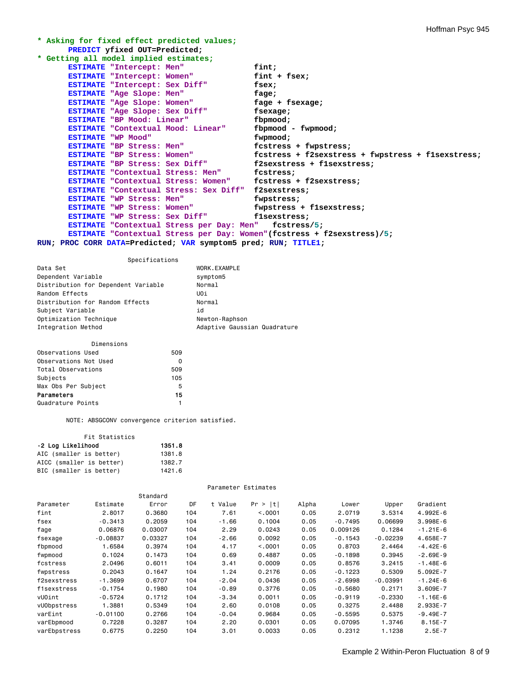```
* Asking for fixed effect predicted values;
      PREDICT yfixed OUT=Predicted; 
* Getting all model implied estimates; 
      ESTIMATE "Intercept: Men" fint;<br>
ESTIMATE "Intercept: Women" fint + fsex;
      ESTIMATE "Intercept: Women" fint + fsex;
      ESTIMATE "Intercept: Sex Diff" fsex; 
      ESTIMATE "Age Slope: Men" fage;
      ESTIMATE "Age Slope: Women" fage + fsexage; 
      ESTIMATE "Age Slope: Women" fage + f<br>
ESTIMATE "Age Slope: Sex Diff" fsexage;
      ESTIMATE "BP Mood: Linear" fbpmood; 
      ESTIMATE "Contextual Mood: Linear" fbpmood - fwpmood; 
      ESTIMATE "WP Mood" fwpmood;<br>
ESTIMATE "BP Stress: Men" fostress + fwpstress;
      ESTIMATE "BP Stress: Men" fcstress + fwpstress; 
      ESTIMATE "BP Stress: Women" fcstress + f2sexstress + fwpstress + f1sexstress; 
      ESTIMATE "BP Stress: Sex Diff" f2sexstress + f1sexstress; 
      ESTIMATE "Contextual Stress: Men" fcstress; 
      ESTIMATE "Contextual Stress: Women" fcstress + f2sexstress; 
      ESTIMATE "Contextual Stress: Sex Diff" f2sexstress; 
      ESTIMATE "WP Stress: Men" fwpstress; 
      ESTIMATE "WP Stress: Women" fwpstress + f1sexstress; 
      ESTIMATE "WP Stress: Sex Diff"
      ESTIMATE "Contextual Stress per Day: Men" fcstress/5; 
      ESTIMATE "Contextual Stress per Day: Women"(fcstress + f2sexstress)/5; 
RUN; PROC CORR DATA=Predicted; VAR symptom5 pred; RUN; TITLE1;
```

| Specifications                      |                              |
|-------------------------------------|------------------------------|
| Data Set                            | WORK.EXAMPLE                 |
| Dependent Variable                  | symptom5                     |
| Distribution for Dependent Variable | Normal                       |
| Random Effects                      | UOi                          |
| Distribution for Random Effects     | Normal                       |
| Subject Variable                    | id                           |
| Optimization Technique              | Newton-Raphson               |
| Integration Method                  | Adaptive Gaussian Quadrature |

| Dimensions            |     |
|-----------------------|-----|
| Observations Used     | 509 |
| Observations Not Used | O   |
| Total Observations    | 509 |
| Subjects              | 105 |
| Max Obs Per Subject   | 5   |
| Parameters            | 15  |
| Quadrature Points     |     |

NOTE: ABSGCONV convergence criterion satisfied.

| Fit Statistics           |        |  |  |  |
|--------------------------|--------|--|--|--|
| -2 Loa Likelihood        | 1351.8 |  |  |  |
| AIC (smaller is better)  | 1381.8 |  |  |  |
| AICC (smaller is better) | 1382.7 |  |  |  |
| BIC (smaller is better)  | 1421.6 |  |  |  |

Parameter Estimates

|              |            | Standard |     |         |         |       |           |            |              |
|--------------|------------|----------|-----|---------|---------|-------|-----------|------------|--------------|
| Parameter    | Estimate   | Error    | DF  | t Value | Pr >  t | Alpha | Lower     | Upper      | Gradient     |
| fint         | 2.8017     | 0.3680   | 104 | 7.61    | < 0.001 | 0.05  | 2.0719    | 3.5314     | $4.992E - 6$ |
| fsex         | $-0.3413$  | 0.2059   | 104 | $-1.66$ | 0.1004  | 0.05  | $-0.7495$ | 0.06699    | $3.998E - 6$ |
| fage         | 0.06876    | 0.03007  | 104 | 2.29    | 0.0243  | 0.05  | 0.009126  | 0.1284     | $-1.21E-6$   |
| fsexage      | $-0.08837$ | 0.03327  | 104 | -2.66   | 0.0092  | 0.05  | $-0.1543$ | $-0.02239$ | 4.658E-7     |
| fbpmood      | 1.6584     | 0.3974   | 104 | 4.17    | < 0.001 | 0.05  | 0.8703    | 2.4464     | $-4.42E-6$   |
| fwpmood      | 0.1024     | 0.1473   | 104 | 0.69    | 0.4887  | 0.05  | $-0.1898$ | 0.3945     | $-2.69E-9$   |
| fcstress     | 2.0496     | 0.6011   | 104 | 3.41    | 0.0009  | 0.05  | 0.8576    | 3.2415     | $-1.48E - 6$ |
| fwpstress    | 0.2043     | 0.1647   | 104 | 1.24    | 0.2176  | 0.05  | $-0.1223$ | 0.5309     | $5.092E - 7$ |
| f2sexstress  | $-1.3699$  | 0.6707   | 104 | $-2.04$ | 0.0436  | 0.05  | $-2.6998$ | $-0.03991$ | $-1.24E-6$   |
| f1sexstress  | $-0.1754$  | 0.1980   | 104 | $-0.89$ | 0.3776  | 0.05  | $-0.5680$ | 0.2171     | $3.609E - 7$ |
| vUOint       | $-0.5724$  | 0.1712   | 104 | -3.34   | 0.0011  | 0.05  | $-0.9119$ | $-0.2330$  | $-1.16E - 6$ |
| vU0bpstress  | 1.3881     | 0.5349   | 104 | 2.60    | 0.0108  | 0.05  | 0.3275    | 2.4488     | 2.933E-7     |
| varEint      | $-0.01100$ | 0.2766   | 104 | $-0.04$ | 0.9684  | 0.05  | $-0.5595$ | 0.5375     | $-9.49E - 7$ |
| varEbpmood   | 0.7228     | 0.3287   | 104 | 2.20    | 0.0301  | 0.05  | 0.07095   | 1.3746     | $8.15E - 7$  |
| varEbpstress | 0.6775     | 0.2250   | 104 | 3.01    | 0.0033  | 0.05  | 0.2312    | 1.1238     | $2.5E - 7$   |